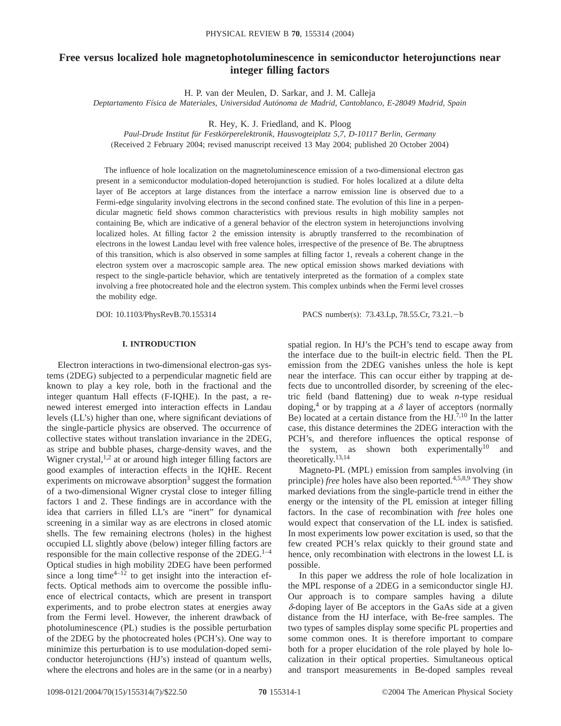# **Free versus localized hole magnetophotoluminescence in semiconductor heterojunctions near integer filling factors**

H. P. van der Meulen, D. Sarkar, and J. M. Calleja

*Deptartamento Física de Materiales, Universidad Autónoma de Madrid, Cantoblanco, E-28049 Madrid, Spain*

R. Hey, K. J. Friedland, and K. Ploog

*Paul-Drude Institut für Festkörperelektronik, Hausvogteiplatz 5,7, D-10117 Berlin, Germany* (Received 2 February 2004; revised manuscript received 13 May 2004; published 20 October 2004)

The influence of hole localization on the magnetoluminescence emission of a two-dimensional electron gas present in a semiconductor modulation-doped heterojunction is studied. For holes localized at a dilute delta layer of Be acceptors at large distances from the interface a narrow emission line is observed due to a Fermi-edge singularity involving electrons in the second confined state. The evolution of this line in a perpendicular magnetic field shows common characteristics with previous results in high mobility samples not containing Be, which are indicative of a general behavior of the electron system in heterojunctions involving localized holes. At filling factor 2 the emission intensity is abruptly transferred to the recombination of electrons in the lowest Landau level with free valence holes, irrespective of the presence of Be. The abruptness of this transition, which is also observed in some samples at filling factor 1, reveals a coherent change in the electron system over a macroscopic sample area. The new optical emission shows marked deviations with respect to the single-particle behavior, which are tentatively interpreted as the formation of a complex state involving a free photocreated hole and the electron system. This complex unbinds when the Fermi level crosses the mobility edge.

DOI: 10.1103/PhysRevB.70.155314 PACS number(s): 73.43.Lp, 78.55.Cr, 73.21. - b

# **I. INTRODUCTION**

Electron interactions in two-dimensional electron-gas systems (2DEG) subjected to a perpendicular magnetic field are known to play a key role, both in the fractional and the integer quantum Hall effects (F-IQHE). In the past, a renewed interest emerged into interaction effects in Landau levels (LL's) higher than one, where significant deviations of the single-particle physics are observed. The occurrence of collective states without translation invariance in the 2DEG, as stripe and bubble phases, charge-density waves, and the Wigner crystal,<sup>1,2</sup> at or around high integer filling factors are good examples of interaction effects in the IQHE. Recent experiments on microwave absorption<sup>3</sup> suggest the formation of a two-dimensional Wigner crystal close to integer filling factors 1 and 2. These findings are in accordance with the idea that carriers in filled LL's are "inert" for dynamical screening in a similar way as are electrons in closed atomic shells. The few remaining electrons (holes) in the highest occupied LL slightly above (below) integer filling factors are responsible for the main collective response of the  $2DEG$ .<sup>1-4</sup> Optical studies in high mobility 2DEG have been performed since a long time $4-\overline{12}$  to get insight into the interaction effects. Optical methods aim to overcome the possible influence of electrical contacts, which are present in transport experiments, and to probe electron states at energies away from the Fermi level. However, the inherent drawback of photoluminescence (PL) studies is the possible perturbation of the 2DEG by the photocreated holes (PCH's). One way to minimize this perturbation is to use modulation-doped semiconductor heterojunctions (HJ's) instead of quantum wells, where the electrons and holes are in the same (or in a nearby)

spatial region. In HJ's the PCH's tend to escape away from the interface due to the built-in electric field. Then the PL emission from the 2DEG vanishes unless the hole is kept near the interface. This can occur either by trapping at defects due to uncontrolled disorder, by screening of the electric field (band flattening) due to weak *n*-type residual doping,<sup>4</sup> or by trapping at a  $\delta$  layer of acceptors (normally Be) located at a certain distance from the  $HJ^{7,10}$  In the latter case, this distance determines the 2DEG interaction with the PCH's, and therefore influences the optical response of the system, as shown both experimentally<sup>10</sup> and theoretically.13,14

Magneto-PL (MPL) emission from samples involving (in principle) *free* holes have also been reported.<sup>4,5,8,9</sup> They show marked deviations from the single-particle trend in either the energy or the intensity of the PL emission at integer filling factors. In the case of recombination with *free* holes one would expect that conservation of the LL index is satisfied. In most experiments low power excitation is used, so that the few created PCH's relax quickly to their ground state and hence, only recombination with electrons in the lowest LL is possible.

In this paper we address the role of hole localization in the MPL response of a 2DEG in a semiconductor single HJ. Our approach is to compare samples having a dilute  $\delta$ -doping layer of Be acceptors in the GaAs side at a given distance from the HJ interface, with Be-free samples. The two types of samples display some specific PL properties and some common ones. It is therefore important to compare both for a proper elucidation of the role played by hole localization in their optical properties. Simultaneous optical and transport measurements in Be-doped samples reveal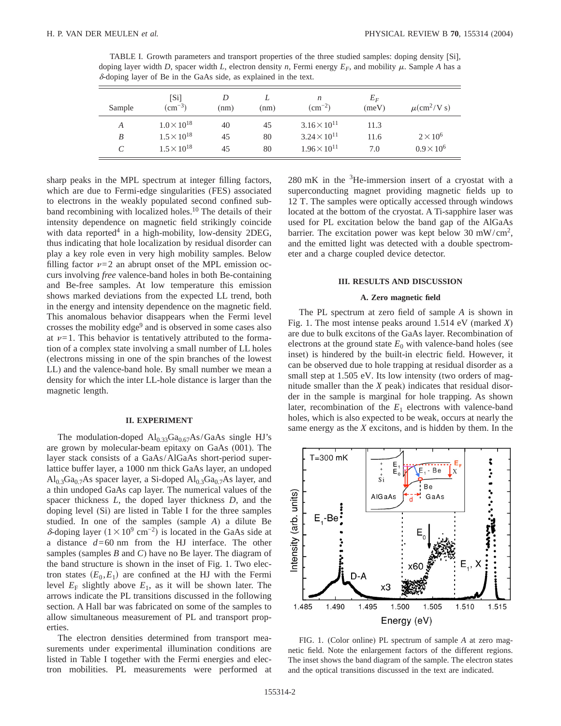TABLE I. Growth parameters and transport properties of the three studied samples: doping density [Si], doping layer width *D*, spacer width *L*, electron density *n*, Fermi energy  $E_F$ , and mobility  $\mu$ . Sample *A* has a  $\delta$ -doping layer of Be in the GaAs side, as explained in the text.

| Sample | [Si]<br>$\text{(cm}^{-3})$ | D<br>(nm) | (nm) | n<br>$\rm (cm^{-2})$  | $E_F$<br>(meV) | $\mu$ (cm <sup>2</sup> /V s) |
|--------|----------------------------|-----------|------|-----------------------|----------------|------------------------------|
| A      | $1.0 \times 10^{18}$       | 40        | 45   | $3.16 \times 10^{11}$ | 11.3           |                              |
| B      | $1.5 \times 10^{18}$       | 45        | 80   | $3.24 \times 10^{11}$ | 11.6           | $2 \times 10^6$              |
| C      | $1.5 \times 10^{18}$       | 45        | 80   | $1.96 \times 10^{11}$ | 7.0            | $0.9 \times 10^{6}$          |

sharp peaks in the MPL spectrum at integer filling factors, which are due to Fermi-edge singularities (FES) associated to electrons in the weakly populated second confined subband recombining with localized holes.<sup>10</sup> The details of their intensity dependence on magnetic field strikingly coincide with data reported $4$  in a high-mobility, low-density 2DEG, thus indicating that hole localization by residual disorder can play a key role even in very high mobility samples. Below filling factor  $\nu=2$  an abrupt onset of the MPL emission occurs involving *free* valence-band holes in both Be-containing and Be-free samples. At low temperature this emission shows marked deviations from the expected LL trend, both in the energy and intensity dependence on the magnetic field. This anomalous behavior disappears when the Fermi level crosses the mobility edge<sup>9</sup> and is observed in some cases also at  $\nu=1$ . This behavior is tentatively attributed to the formation of a complex state involving a small number of LL holes (electrons missing in one of the spin branches of the lowest LL) and the valence-band hole. By small number we mean a density for which the inter LL-hole distance is larger than the magnetic length.

#### **II. EXPERIMENT**

The modulation-doped  $Al_{0.33}Ga_{0.67}As/GaAs$  single HJ's are grown by molecular-beam epitaxy on GaAs (001). The layer stack consists of a GaAs/AlGaAs short-period superlattice buffer layer, a 1000 nm thick GaAs layer, an undoped  $\text{Al}_{0.3}\text{Ga}_{0.7}\text{As}$  spacer layer, a Si-doped  $\text{Al}_{0.3}\text{Ga}_{0.7}\text{As}$  layer, and a thin undoped GaAs cap layer. The numerical values of the spacer thickness *L*, the doped layer thickness *D*, and the doping level (Si) are listed in Table I for the three samples studied. In one of the samples (sample *A*) a dilute Be δ-doping layer  $(1 \times 10^9 \text{ cm}^{-2})$  is located in the GaAs side at a distance *d*=60 nm from the HJ interface. The other samples (samples *B* and *C*) have no Be layer. The diagram of the band structure is shown in the inset of Fig. 1. Two electron states  $(E_0, E_1)$  are confined at the HJ with the Fermi level  $E_F$  slightly above  $E_1$ , as it will be shown later. The arrows indicate the PL transitions discussed in the following section. A Hall bar was fabricated on some of the samples to allow simultaneous measurement of PL and transport properties.

The electron densities determined from transport measurements under experimental illumination conditions are listed in Table I together with the Fermi energies and electron mobilities. PL measurements were performed at

 $280 \text{ mK}$  in the  $3\text{He}$ -immersion insert of a cryostat with a superconducting magnet providing magnetic fields up to 12 T. The samples were optically accessed through windows located at the bottom of the cryostat. A Ti-sapphire laser was used for PL excitation below the band gap of the AlGaAs barrier. The excitation power was kept below 30 mW/cm<sup>2</sup>, and the emitted light was detected with a double spectrometer and a charge coupled device detector.

## **III. RESULTS AND DISCUSSION**

#### **A. Zero magnetic field**

The PL spectrum at zero field of sample *A* is shown in Fig. 1. The most intense peaks around 1.514 eV (marked *X*) are due to bulk excitons of the GaAs layer. Recombination of electrons at the ground state  $E_0$  with valence-band holes (see inset) is hindered by the built-in electric field. However, it can be observed due to hole trapping at residual disorder as a small step at 1.505 eV. Its low intensity (two orders of magnitude smaller than the *X* peak) indicates that residual disorder in the sample is marginal for hole trapping. As shown later, recombination of the  $E_1$  electrons with valence-band holes, which is also expected to be weak, occurs at nearly the same energy as the *X* excitons, and is hidden by them. In the



FIG. 1. (Color online) PL spectrum of sample *A* at zero magnetic field. Note the enlargement factors of the different regions. The inset shows the band diagram of the sample. The electron states and the optical transitions discussed in the text are indicated.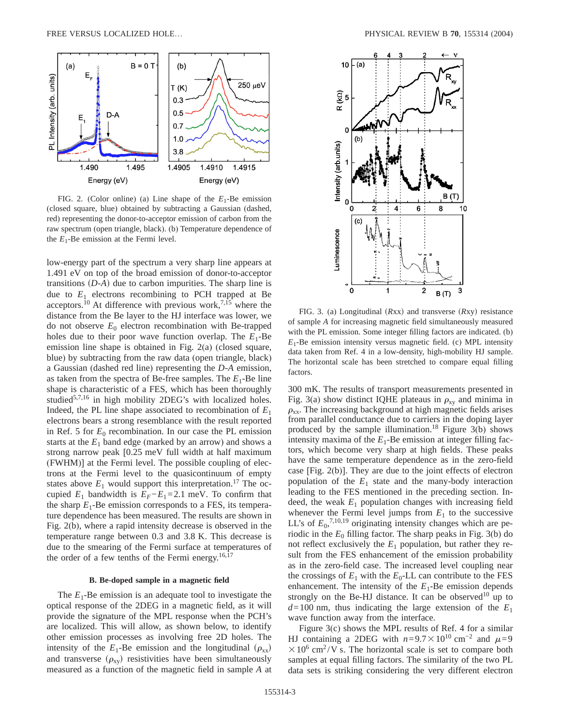

FIG. 2. (Color online) (a) Line shape of the *E*1-Be emission (closed square, blue) obtained by subtracting a Gaussian (dashed, red) representing the donor-to-acceptor emission of carbon from the raw spectrum (open triangle, black). (b) Temperature dependence of the  $E_1$ -Be emission at the Fermi level.

low-energy part of the spectrum a very sharp line appears at 1.491 eV on top of the broad emission of donor-to-acceptor transitions  $(D-A)$  due to carbon impurities. The sharp line is due to  $E_1$  electrons recombining to PCH trapped at Be acceptors.<sup>10</sup> At difference with previous work,<sup>7,15</sup> where the distance from the Be layer to the HJ interface was lower, we do not observe  $E_0$  electron recombination with Be-trapped holes due to their poor wave function overlap. The  $E_1$ -Be emission line shape is obtained in Fig. 2(a) (closed square, blue) by subtracting from the raw data (open triangle, black) a Gaussian (dashed red line) representing the *D*-*A* emission, as taken from the spectra of Be-free samples. The  $E_1$ -Be line shape is characteristic of a FES, which has been thoroughly studied<sup>5,7,16</sup> in high mobility 2DEG's with localized holes. Indeed, the PL line shape associated to recombination of  $E_1$ electrons bears a strong resemblance with the result reported in Ref. 5 for  $E_0$  recombination. In our case the PL emission starts at the  $E_1$  band edge (marked by an arrow) and shows a strong narrow peak [0.25 meV full width at half maximum (FWHM)] at the Fermi level. The possible coupling of electrons at the Fermi level to the quasicontinuum of empty states above  $E_1$  would support this interpretation.<sup>17</sup> The occupied  $E_1$  bandwidth is  $E_F$ − $E_1$ =2.1 meV. To confirm that the sharp  $E_1$ -Be emission corresponds to a FES, its temperature dependence has been measured. The results are shown in Fig. 2(b), where a rapid intensity decrease is observed in the temperature range between 0.3 and 3.8 K. This decrease is due to the smearing of the Fermi surface at temperatures of the order of a few tenths of the Fermi energy. $16,17$ 

## **B. Be-doped sample in a magnetic field**

The  $E_1$ -Be emission is an adequate tool to investigate the optical response of the 2DEG in a magnetic field, as it will provide the signature of the MPL response when the PCH's are localized. This will allow, as shown below, to identify other emission processes as involving free 2D holes. The intensity of the  $E_1$ -Be emission and the longitudinal  $(\rho_{xx})$ and transverse  $(\rho_{xy})$  resistivities have been simultaneously measured as a function of the magnetic field in sample *A* at



FIG. 3. (a) Longitudinal (Rxx) and transverse (Rxy) resistance of sample *A* for increasing magnetic field simultaneously measured with the PL emission. Some integer filling factors are indicated. (b)  $E_1$ -Be emission intensity versus magnetic field. (c) MPL intensity data taken from Ref. 4 in a low-density, high-mobility HJ sample. The horizontal scale has been stretched to compare equal filling factors.

300 mK. The results of transport measurements presented in Fig. 3(a) show distinct IQHE plateaus in  $\rho_{xy}$  and minima in  $\rho_{xx}$ . The increasing background at high magnetic fields arises from parallel conductance due to carriers in the doping layer produced by the sample illumination.<sup>18</sup> Figure  $3(b)$  shows intensity maxima of the  $E_1$ -Be emission at integer filling factors, which become very sharp at high fields. These peaks have the same temperature dependence as in the zero-field case [Fig. 2(b)]. They are due to the joint effects of electron population of the  $E_1$  state and the many-body interaction leading to the FES mentioned in the preceding section. Indeed, the weak  $E_1$  population changes with increasing field whenever the Fermi level jumps from  $E_1$  to the successive LL's of  $E_0$ <sup>7,10,19</sup> originating intensity changes which are periodic in the  $E_0$  filling factor. The sharp peaks in Fig. 3(b) do not reflect exclusively the  $E_1$  population, but rather they result from the FES enhancement of the emission probability as in the zero-field case. The increased level coupling near the crossings of  $E_1$  with the  $E_0$ -LL can contribute to the FES enhancement. The intensity of the  $E_1$ -Be emission depends strongly on the Be-HJ distance. It can be observed<sup>10</sup> up to  $d=100$  nm, thus indicating the large extension of the  $E_1$ wave function away from the interface.

Figure 3(c) shows the MPL results of Ref. 4 for a similar HJ containing a 2DEG with  $n=9.7\times10^{10}$  cm<sup>-2</sup> and  $\mu=9$  $\times$  10<sup>6</sup> cm<sup>2</sup>/V s. The horizontal scale is set to compare both samples at equal filling factors. The similarity of the two PL data sets is striking considering the very different electron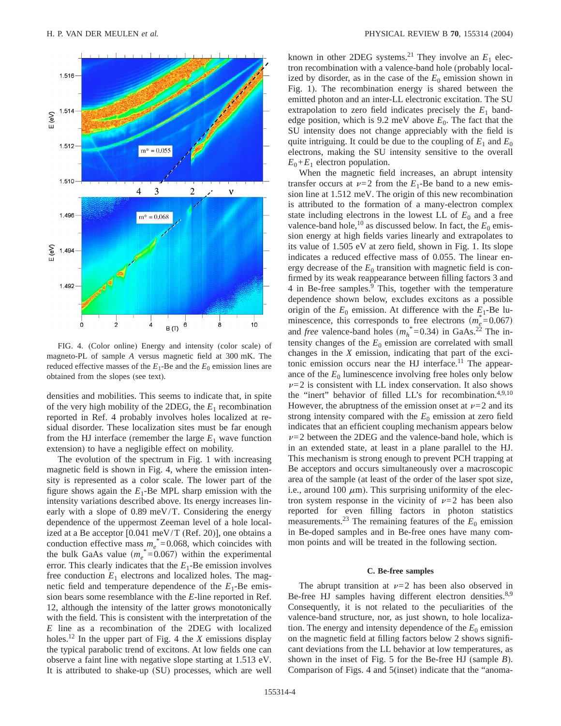

FIG. 4. (Color online) Energy and intensity (color scale) of magneto-PL of sample *A* versus magnetic field at 300 mK. The reduced effective masses of the  $E_1$ -Be and the  $E_0$  emission lines are obtained from the slopes (see text).

densities and mobilities. This seems to indicate that, in spite of the very high mobility of the 2DEG, the *E*<sup>1</sup> recombination reported in Ref. 4 probably involves holes localized at residual disorder. These localization sites must be far enough from the HJ interface (remember the large  $E_1$  wave function extension) to have a negligible effect on mobility.

The evolution of the spectrum in Fig. 1 with increasing magnetic field is shown in Fig. 4, where the emission intensity is represented as a color scale. The lower part of the figure shows again the  $E_1$ -Be MPL sharp emission with the intensity variations described above. Its energy increases linearly with a slope of 0.89 meV/T. Considering the energy dependence of the uppermost Zeeman level of a hole localized at a Be acceptor [0.041 meV/T (Ref. 20)], one obtains a conduction effective mass  $m_e^* = 0.068$ , which coincides with the bulk GaAs value  $(m_e^* = 0.067)$  within the experimental error. This clearly indicates that the  $E_1$ -Be emission involves free conduction  $E_1$  electrons and localized holes. The magnetic field and temperature dependence of the  $E_1$ -Be emission bears some resemblance with the *E*-line reported in Ref. 12, although the intensity of the latter grows monotonically with the field. This is consistent with the interpretation of the *E* line as a recombination of the 2DEG with localized holes.12 In the upper part of Fig. 4 the *X* emissions display the typical parabolic trend of excitons. At low fields one can observe a faint line with negative slope starting at 1.513 eV. It is attributed to shake-up (SU) processes, which are well known in other 2DEG systems.<sup>21</sup> They involve an  $E_1$  electron recombination with a valence-band hole (probably localized by disorder, as in the case of the  $E_0$  emission shown in Fig. 1). The recombination energy is shared between the emitted photon and an inter-LL electronic excitation. The SU extrapolation to zero field indicates precisely the  $E_1$  bandedge position, which is 9.2 meV above  $E_0$ . The fact that the SU intensity does not change appreciably with the field is quite intriguing. It could be due to the coupling of  $E_1$  and  $E_0$ electrons, making the SU intensity sensitive to the overall  $E_0 + E_1$  electron population.

When the magnetic field increases, an abrupt intensity transfer occurs at  $\nu=2$  from the  $E_1$ -Be band to a new emission line at 1.512 meV. The origin of this new recombination is attributed to the formation of a many-electron complex state including electrons in the lowest LL of  $E_0$  and a free valence-band hole,<sup>10</sup> as discussed below. In fact, the  $E_0$  emission energy at high fields varies linearly and extrapolates to its value of 1.505 eV at zero field, shown in Fig. 1. Its slope indicates a reduced effective mass of 0.055. The linear energy decrease of the  $E_0$  transition with magnetic field is confirmed by its weak reappearance between filling factors 3 and 4 in Be-free samples.9 This, together with the temperature dependence shown below, excludes excitons as a possible origin of the  $E_0$  emission. At difference with the  $E_1$ -Be luminescence, this corresponds to free electrons  $(m_e^* = 0.067)$ and *free* valence-band holes  $(m_h^* = 0.34)$  in GaAs.<sup>22</sup> The intensity changes of the  $E_0$  emission are correlated with small changes in the *X* emission, indicating that part of the excitonic emission occurs near the HJ interface.<sup>11</sup> The appearance of the  $E_0$  luminescence involving free holes only below  $\nu=2$  is consistent with LL index conservation. It also shows the "inert" behavior of filled LL's for recombination.4,9,10 However, the abruptness of the emission onset at  $\nu=2$  and its strong intensity compared with the  $E_0$  emission at zero field indicates that an efficient coupling mechanism appears below  $\nu=2$  between the 2DEG and the valence-band hole, which is in an extended state, at least in a plane parallel to the HJ. This mechanism is strong enough to prevent PCH trapping at Be acceptors and occurs simultaneously over a macroscopic area of the sample (at least of the order of the laser spot size, i.e., around 100  $\mu$ m). This surprising uniformity of the electron system response in the vicinity of  $\nu=2$  has been also reported for even filling factors in photon statistics measurements.<sup>23</sup> The remaining features of the  $E_0$  emission in Be-doped samples and in Be-free ones have many common points and will be treated in the following section.

#### **C. Be-free samples**

The abrupt transition at  $\nu=2$  has been also observed in Be-free HJ samples having different electron densities.<sup>8,9</sup> Consequently, it is not related to the peculiarities of the valence-band structure, nor, as just shown, to hole localization. The energy and intensity dependence of the  $E_0$  emission on the magnetic field at filling factors below 2 shows significant deviations from the LL behavior at low temperatures, as shown in the inset of Fig. 5 for the Be-free HJ (sample *B*). Comparison of Figs. 4 and 5(inset) indicate that the "anoma-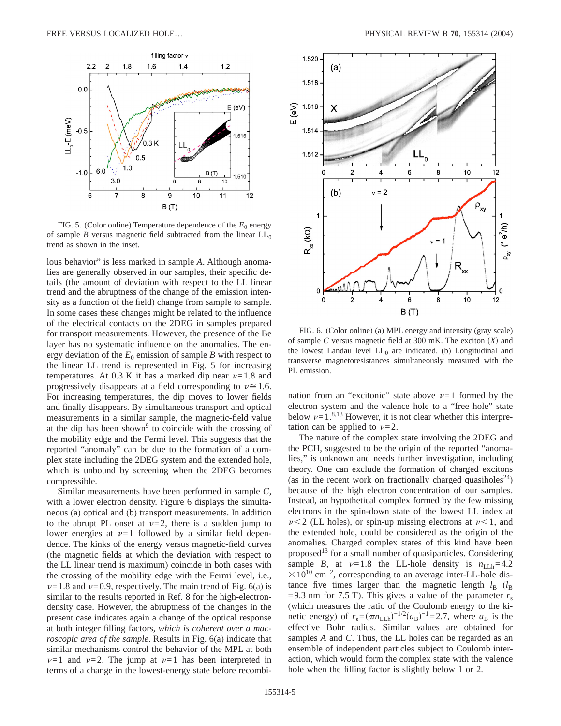

FIG. 5. (Color online) Temperature dependence of the  $E_0$  energy of sample *B* versus magnetic field subtracted from the linear  $LL_0$ trend as shown in the inset.

lous behavior" is less marked in sample *A*. Although anomalies are generally observed in our samples, their specific details (the amount of deviation with respect to the LL linear trend and the abruptness of the change of the emission intensity as a function of the field) change from sample to sample. In some cases these changes might be related to the influence of the electrical contacts on the 2DEG in samples prepared for transport measurements. However, the presence of the Be layer has no systematic influence on the anomalies. The energy deviation of the  $E_0$  emission of sample *B* with respect to the linear LL trend is represented in Fig. 5 for increasing temperatures. At 0.3 K it has a marked dip near  $\nu=1.8$  and progressively disappears at a field corresponding to  $\nu \approx 1.6$ . For increasing temperatures, the dip moves to lower fields and finally disappears. By simultaneous transport and optical measurements in a similar sample, the magnetic-field value at the dip has been shown<sup>9</sup> to coincide with the crossing of the mobility edge and the Fermi level. This suggests that the reported "anomaly" can be due to the formation of a complex state including the 2DEG system and the extended hole, which is unbound by screening when the 2DEG becomes compressible.

Similar measurements have been performed in sample *C*, with a lower electron density. Figure 6 displays the simultaneous (a) optical and (b) transport measurements. In addition to the abrupt PL onset at  $\nu=2$ , there is a sudden jump to lower energies at  $\nu=1$  followed by a similar field dependence. The kinks of the energy versus magnetic-field curves (the magnetic fields at which the deviation with respect to the LL linear trend is maximum) coincide in both cases with the crossing of the mobility edge with the Fermi level, i.e.,  $\nu=1.8$  and  $\nu=0.9$ , respectively. The main trend of Fig. 6(a) is similar to the results reported in Ref. 8 for the high-electrondensity case. However, the abruptness of the changes in the present case indicates again a change of the optical response at both integer filling factors, *which is coherent over a macroscopic area of the sample*. Results in Fig. 6(a) indicate that similar mechanisms control the behavior of the MPL at both  $\nu=1$  and  $\nu=2$ . The jump at  $\nu=1$  has been interpreted in terms of a change in the lowest-energy state before recombi-



FIG. 6. (Color online) (a) MPL energy and intensity (gray scale) of sample *C* versus magnetic field at 300 mK. The exciton  $(X)$  and the lowest Landau level  $LL_0$  are indicated. (b) Longitudinal and transverse magnetoresistances simultaneously measured with the PL emission.

nation from an "excitonic" state above  $\nu=1$  formed by the electron system and the valence hole to a "free hole" state below  $\nu=1.^{8,13}$  However, it is not clear whether this interpretation can be applied to  $\nu=2$ .

The nature of the complex state involving the 2DEG and the PCH, suggested to be the origin of the reported "anomalies," is unknown and needs further investigation, including theory. One can exclude the formation of charged excitons (as in the recent work on fractionally charged quasiholes<sup>24</sup>) because of the high electron concentration of our samples. Instead, an hypothetical complex formed by the few missing electrons in the spin-down state of the lowest LL index at  $\nu$  < 2 (LL holes), or spin-up missing electrons at  $\nu$  < 1, and the extended hole, could be considered as the origin of the anomalies. Charged complex states of this kind have been proposed<sup>13</sup> for a small number of quasiparticles. Considering sample *B*, at  $\nu=1.8$  the LL-hole density is  $n_{\text{LLh}}=4.2$  $\times 10^{10}$  cm<sup>-2</sup>, corresponding to an average inter-LL-hole distance five times larger than the magnetic length  $l_B$  ( $l_B$ =9.3 nm for 7.5 T). This gives a value of the parameter  $r_s$ (which measures the ratio of the Coulomb energy to the kinetic energy) of  $r_s = (\pi n_{\text{LLh}})^{-1/2} (a_B)^{-1} = 2.7$ , where  $a_B$  is the effective Bohr radius. Similar values are obtained for samples *A* and *C*. Thus, the LL holes can be regarded as an ensemble of independent particles subject to Coulomb interaction, which would form the complex state with the valence hole when the filling factor is slightly below 1 or 2.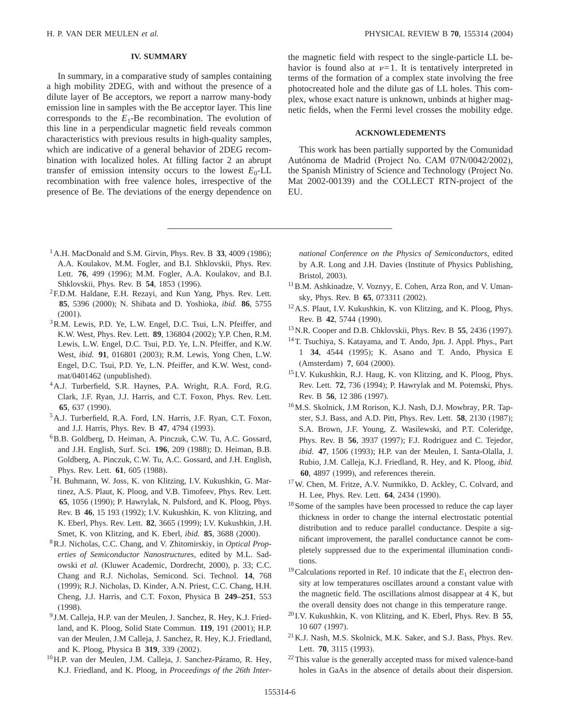# **IV. SUMMARY**

In summary, in a comparative study of samples containing a high mobility 2DEG, with and without the presence of a dilute layer of Be acceptors, we report a narrow many-body emission line in samples with the Be acceptor layer. This line corresponds to the  $E_1$ -Be recombination. The evolution of this line in a perpendicular magnetic field reveals common characteristics with previous results in high-quality samples, which are indicative of a general behavior of 2DEG recombination with localized holes. At filling factor 2 an abrupt transfer of emission intensity occurs to the lowest  $E_0$ -LL recombination with free valence holes, irrespective of the presence of Be. The deviations of the energy dependence on

- 1A.H. MacDonald and S.M. Girvin, Phys. Rev. B **33**, 4009 (1986); A.A. Koulakov, M.M. Fogler, and B.I. Shklovskii, Phys. Rev. Lett. **76**, 499 (1996); M.M. Fogler, A.A. Koulakov, and B.I. Shklovskii, Phys. Rev. B **54**, 1853 (1996).
- 2F.D.M. Haldane, E.H. Rezayi, and Kun Yang, Phys. Rev. Lett. **85**, 5396 (2000); N. Shibata and D. Yoshioka, *ibid.* **86**, 5755 (2001).
- <sup>3</sup>R.M. Lewis, P.D. Ye, L.W. Engel, D.C. Tsui, L.N. Pfeiffer, and K.W. West, Phys. Rev. Lett. **89**, 136804 (2002); Y.P. Chen, R.M. Lewis, L.W. Engel, D.C. Tsui, P.D. Ye, L.N. Pfeiffer, and K.W. West, *ibid.* **91**, 016801 (2003); R.M. Lewis, Yong Chen, L.W. Engel, D.C. Tsui, P.D. Ye, L.N. Pfeiffer, and K.W. West, condmat/0401462 (unpublished).
- 4A.J. Turberfield, S.R. Haynes, P.A. Wright, R.A. Ford, R.G. Clark, J.F. Ryan, J.J. Harris, and C.T. Foxon, Phys. Rev. Lett. **65**, 637 (1990).
- 5A.J. Turberfield, R.A. Ford, I.N. Harris, J.F. Ryan, C.T. Foxon, and J.J. Harris, Phys. Rev. B **47**, 4794 (1993).
- 6B.B. Goldberg, D. Heiman, A. Pinczuk, C.W. Tu, A.C. Gossard, and J.H. English, Surf. Sci. **196**, 209 (1988); D. Heiman, B.B. Goldberg, A. Pinczuk, C.W. Tu, A.C. Gossard, and J.H. English, Phys. Rev. Lett. **61**, 605 (1988).
- 7H. Buhmann, W. Joss, K. von Klitzing, I.V. Kukushkin, G. Martinez, A.S. Plaut, K. Ploog, and V.B. Timofeev, Phys. Rev. Lett. **65**, 1056 (1990); P. Hawrylak, N. Pulsford, and K. Ploog, Phys. Rev. B **46**, 15 193 (1992); I.V. Kukushkin, K. von Klitzing, and K. Eberl, Phys. Rev. Lett. **82**, 3665 (1999); I.V. Kukushkin, J.H. Smet, K. von Klitzing, and K. Eberl, *ibid.* **85**, 3688 (2000).
- 8R.J. Nicholas, C.C. Chang, and V. Zhitomirskiy, in *Optical Properties of Semiconductor Nanostructures*, edited by M.L. Sadowski *et al.* (Kluwer Academic, Dordrecht, 2000), p. 33; C.C. Chang and R.J. Nicholas, Semicond. Sci. Technol. **14**, 768 (1999); R.J. Nicholas, D. Kinder, A.N. Priest, C.C. Chang, H.H. Cheng, J.J. Harris, and C.T. Foxon, Physica B **249–251**, 553 (1998).
- <sup>9</sup> J.M. Calleja, H.P. van der Meulen, J. Sanchez, R. Hey, K.J. Friedland, and K. Ploog, Solid State Commun. **119**, 191 (2001); H.P. van der Meulen, J.M Calleja, J. Sanchez, R. Hey, K.J. Friedland, and K. Ploog, Physica B **319**, 339 (2002).
- 10H.P. van der Meulen, J.M. Calleja, J. Sanchez-Páramo, R. Hey, K.J. Friedland, and K. Ploog, in *Proceedings of the 26th Inter-*

the magnetic field with respect to the single-particle LL behavior is found also at  $\nu=1$ . It is tentatively interpreted in terms of the formation of a complex state involving the free photocreated hole and the dilute gas of LL holes. This complex, whose exact nature is unknown, unbinds at higher magnetic fields, when the Fermi level crosses the mobility edge.

## **ACKNOWLEDEMENTS**

This work has been partially supported by the Comunidad Autónoma de Madrid (Project No. CAM 07N/0042/2002), the Spanish Ministry of Science and Technology (Project No. Mat 2002-00139) and the COLLECT RTN-project of the EU.

*national Conference on the Physics of Semiconductors*, edited by A.R. Long and J.H. Davies (Institute of Physics Publishing, Bristol, 2003).

- <sup>11</sup>B.M. Ashkinadze, V. Voznyy, E. Cohen, Arza Ron, and V. Umansky, Phys. Rev. B **65**, 073311 (2002).
- 12A.S. Plaut, I.V. Kukushkin, K. von Klitzing, and K. Ploog, Phys. Rev. B **42**, 5744 (1990).
- 13N.R. Cooper and D.B. Chklovskii, Phys. Rev. B **55**, 2436 (1997).
- 14T. Tsuchiya, S. Katayama, and T. Ando, Jpn. J. Appl. Phys., Part 1 **34**, 4544 (1995); K. Asano and T. Ando, Physica E (Amsterdam) **7**, 604 (2000).
- <sup>15</sup> I.V. Kukushkin, R.J. Haug, K. von Klitzing, and K. Ploog, Phys. Rev. Lett. **72**, 736 (1994); P. Hawrylak and M. Potemski, Phys. Rev. B **56**, 12 386 (1997).
- 16M.S. Skolnick, J.M Rorison, K.J. Nash, D.J. Mowbray, P.R. Tapster, S.J. Bass, and A.D. Pitt, Phys. Rev. Lett. **58**, 2130 (1987); S.A. Brown, J.F. Young, Z. Wasilewski, and P.T. Coleridge, Phys. Rev. B **56**, 3937 (1997); F.J. Rodriguez and C. Tejedor, *ibid.* **47**, 1506 (1993); H.P. van der Meulen, I. Santa-Olalla, J. Rubio, J.M. Calleja, K.J. Friedland, R. Hey, and K. Ploog, *ibid.* **60**, 4897 (1999), and references therein.
- 17W. Chen, M. Fritze, A.V. Nurmikko, D. Ackley, C. Colvard, and H. Lee, Phys. Rev. Lett. **64**, 2434 (1990).
- 18Some of the samples have been processed to reduce the cap layer thickness in order to change the internal electrostatic potential distribution and to reduce parallel conductance. Despite a significant improvement, the parallel conductance cannot be completely suppressed due to the experimental illumination conditions.
- <sup>19</sup> Calculations reported in Ref. 10 indicate that the  $E_1$  electron density at low temperatures oscillates around a constant value with the magnetic field. The oscillations almost disappear at 4 K, but the overall density does not change in this temperature range.
- <sup>20</sup> I.V. Kukushkin, K. von Klitzing, and K. Eberl, Phys. Rev. B **55**, 10 607 (1997).
- 21K.J. Nash, M.S. Skolnick, M.K. Saker, and S.J. Bass, Phys. Rev. Lett. **70**, 3115 (1993).
- <sup>22</sup>This value is the generally accepted mass for mixed valence-band holes in GaAs in the absence of details about their dispersion.